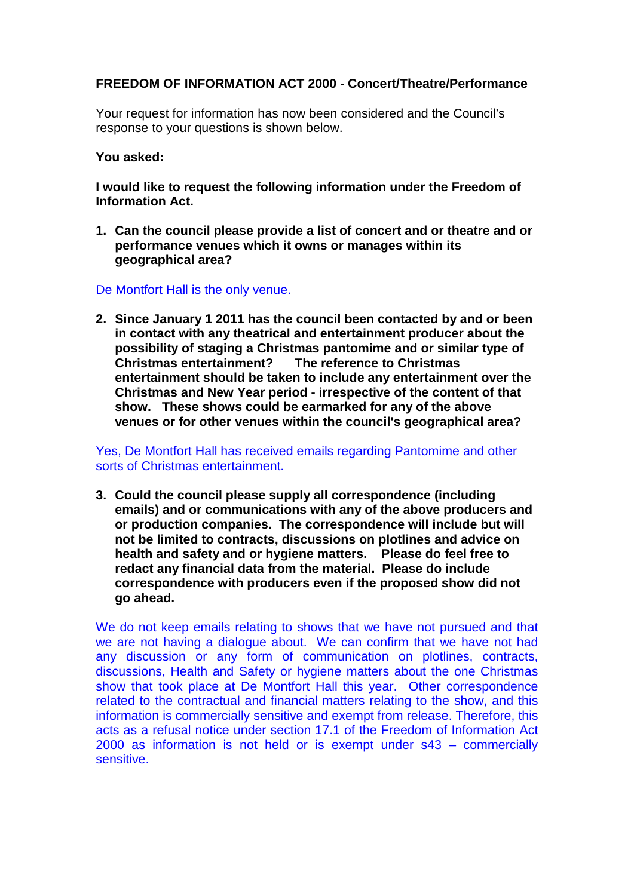## **FREEDOM OF INFORMATION ACT 2000 - Concert/Theatre/Performance**

Your request for information has now been considered and the Council's response to your questions is shown below.

## **You asked:**

**I would like to request the following information under the Freedom of Information Act.**

- **1. Can the council please provide a list of concert and or theatre and or performance venues which it owns or manages within its geographical area?**
- De Montfort Hall is the only venue.
- **2. Since January 1 2011 has the council been contacted by and or been in contact with any theatrical and entertainment producer about the possibility of staging a Christmas pantomime and or similar type of Christmas entertainment? The reference to Christmas entertainment should be taken to include any entertainment over the Christmas and New Year period - irrespective of the content of that show. These shows could be earmarked for any of the above venues or for other venues within the council's geographical area?**

## Yes, De Montfort Hall has received emails regarding Pantomime and other sorts of Christmas entertainment.

**3. Could the council please supply all correspondence (including emails) and or communications with any of the above producers and or production companies. The correspondence will include but will not be limited to contracts, discussions on plotlines and advice on health and safety and or hygiene matters. Please do feel free to redact any financial data from the material. Please do include correspondence with producers even if the proposed show did not go ahead.**

We do not keep emails relating to shows that we have not pursued and that we are not having a dialogue about. We can confirm that we have not had any discussion or any form of communication on plotlines, contracts, discussions, Health and Safety or hygiene matters about the one Christmas show that took place at De Montfort Hall this year. Other correspondence related to the contractual and financial matters relating to the show, and this information is commercially sensitive and exempt from release. Therefore, this acts as a refusal notice under section 17.1 of the Freedom of Information Act 2000 as information is not held or is exempt under s43 – commercially sensitive.